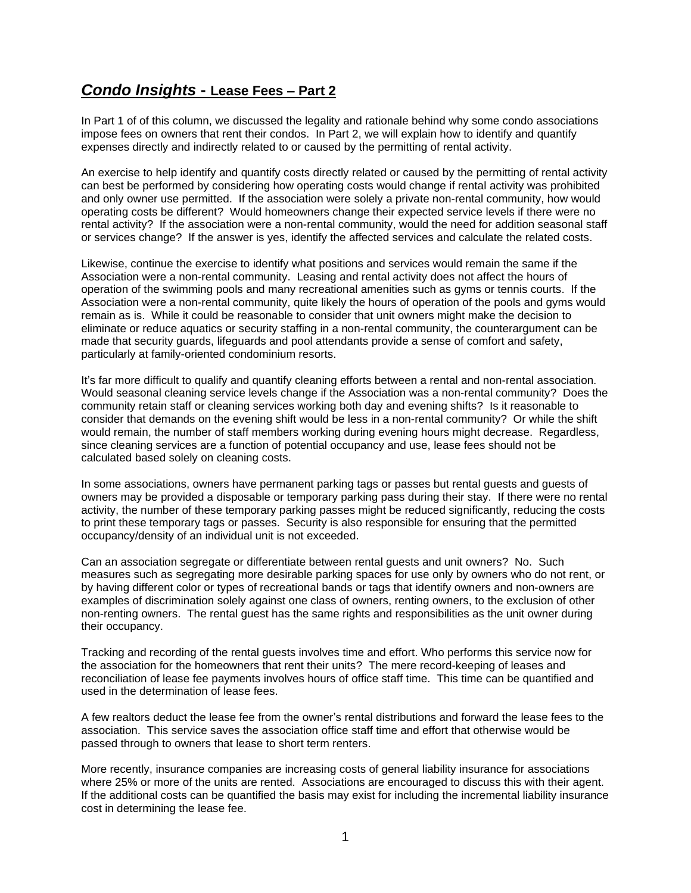## *Condo Insights* **- Lease Fees – Part 2**

In Part 1 of of this column, we discussed the legality and rationale behind why some condo associations impose fees on owners that rent their condos. In Part 2, we will explain how to identify and quantify expenses directly and indirectly related to or caused by the permitting of rental activity.

An exercise to help identify and quantify costs directly related or caused by the permitting of rental activity can best be performed by considering how operating costs would change if rental activity was prohibited and only owner use permitted. If the association were solely a private non-rental community, how would operating costs be different? Would homeowners change their expected service levels if there were no rental activity? If the association were a non-rental community, would the need for addition seasonal staff or services change? If the answer is yes, identify the affected services and calculate the related costs.

Likewise, continue the exercise to identify what positions and services would remain the same if the Association were a non-rental community. Leasing and rental activity does not affect the hours of operation of the swimming pools and many recreational amenities such as gyms or tennis courts. If the Association were a non-rental community, quite likely the hours of operation of the pools and gyms would remain as is. While it could be reasonable to consider that unit owners might make the decision to eliminate or reduce aquatics or security staffing in a non-rental community, the counterargument can be made that security guards, lifeguards and pool attendants provide a sense of comfort and safety, particularly at family-oriented condominium resorts.

It's far more difficult to qualify and quantify cleaning efforts between a rental and non-rental association. Would seasonal cleaning service levels change if the Association was a non-rental community? Does the community retain staff or cleaning services working both day and evening shifts? Is it reasonable to consider that demands on the evening shift would be less in a non-rental community? Or while the shift would remain, the number of staff members working during evening hours might decrease. Regardless, since cleaning services are a function of potential occupancy and use, lease fees should not be calculated based solely on cleaning costs.

In some associations, owners have permanent parking tags or passes but rental guests and guests of owners may be provided a disposable or temporary parking pass during their stay. If there were no rental activity, the number of these temporary parking passes might be reduced significantly, reducing the costs to print these temporary tags or passes. Security is also responsible for ensuring that the permitted occupancy/density of an individual unit is not exceeded.

Can an association segregate or differentiate between rental guests and unit owners? No. Such measures such as segregating more desirable parking spaces for use only by owners who do not rent, or by having different color or types of recreational bands or tags that identify owners and non-owners are examples of discrimination solely against one class of owners, renting owners, to the exclusion of other non-renting owners. The rental guest has the same rights and responsibilities as the unit owner during their occupancy.

Tracking and recording of the rental guests involves time and effort. Who performs this service now for the association for the homeowners that rent their units? The mere record-keeping of leases and reconciliation of lease fee payments involves hours of office staff time. This time can be quantified and used in the determination of lease fees.

A few realtors deduct the lease fee from the owner's rental distributions and forward the lease fees to the association. This service saves the association office staff time and effort that otherwise would be passed through to owners that lease to short term renters.

More recently, insurance companies are increasing costs of general liability insurance for associations where 25% or more of the units are rented. Associations are encouraged to discuss this with their agent. If the additional costs can be quantified the basis may exist for including the incremental liability insurance cost in determining the lease fee.